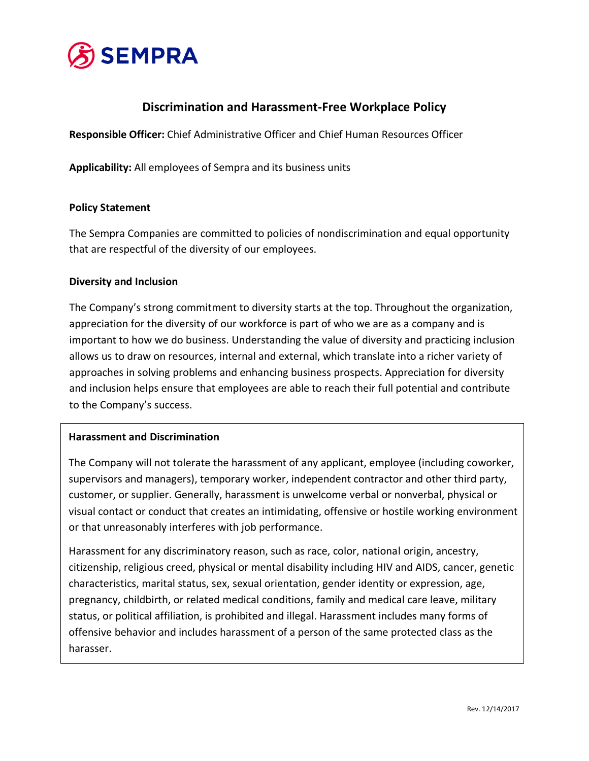

## **Discrimination and Harassment-Free Workplace Policy**

**Responsible Officer:** Chief Administrative Officer and Chief Human Resources Officer

**Applicability:** All employees of Sempra and its business units

#### **Policy Statement**

The Sempra Companies are committed to policies of nondiscrimination and equal opportunity that are respectful of the diversity of our employees.

#### **Diversity and Inclusion**

The Company's strong commitment to diversity starts at the top. Throughout the organization, appreciation for the diversity of our workforce is part of who we are as a company and is important to how we do business. Understanding the value of diversity and practicing inclusion allows us to draw on resources, internal and external, which translate into a richer variety of approaches in solving problems and enhancing business prospects. Appreciation for diversity and inclusion helps ensure that employees are able to reach their full potential and contribute to the Company's success.

#### **Harassment and Discrimination**

The Company will not tolerate the harassment of any applicant, employee (including coworker, supervisors and managers), temporary worker, independent contractor and other third party, customer, or supplier. Generally, harassment is unwelcome verbal or nonverbal, physical or visual contact or conduct that creates an intimidating, offensive or hostile working environment or that unreasonably interferes with job performance.

Harassment for any discriminatory reason, such as race, color, national origin, ancestry, citizenship, religious creed, physical or mental disability including HIV and AIDS, cancer, genetic characteristics, marital status, sex, sexual orientation, gender identity or expression, age, pregnancy, childbirth, or related medical conditions, family and medical care leave, military status, or political affiliation, is prohibited and illegal. Harassment includes many forms of offensive behavior and includes harassment of a person of the same protected class as the harasser.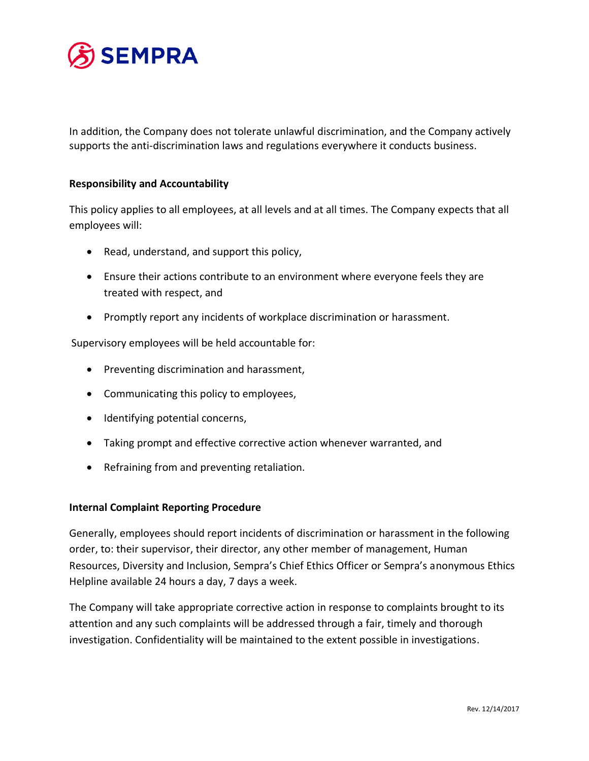

In addition, the Company does not tolerate unlawful discrimination, and the Company actively supports the anti-discrimination laws and regulations everywhere it conducts business.

#### **Responsibility and Accountability**

This policy applies to all employees, at all levels and at all times. The Company expects that all employees will:

- Read, understand, and support this policy,
- Ensure their actions contribute to an environment where everyone feels they are treated with respect, and
- Promptly report any incidents of workplace discrimination or harassment.

Supervisory employees will be held accountable for:

- Preventing discrimination and harassment,
- Communicating this policy to employees,
- Identifying potential concerns,
- Taking prompt and effective corrective action whenever warranted, and
- Refraining from and preventing retaliation.

#### **Internal Complaint Reporting Procedure**

Generally, employees should report incidents of discrimination or harassment in the following order, to: their supervisor, their director, any other member of management, Human Resources, Diversity and Inclusion, Sempra's Chief Ethics Officer or Sempra's anonymous Ethics Helpline available 24 hours a day, 7 days a week.

The Company will take appropriate corrective action in response to complaints brought to its attention and any such complaints will be addressed through a fair, timely and thorough investigation. Confidentiality will be maintained to the extent possible in investigations.